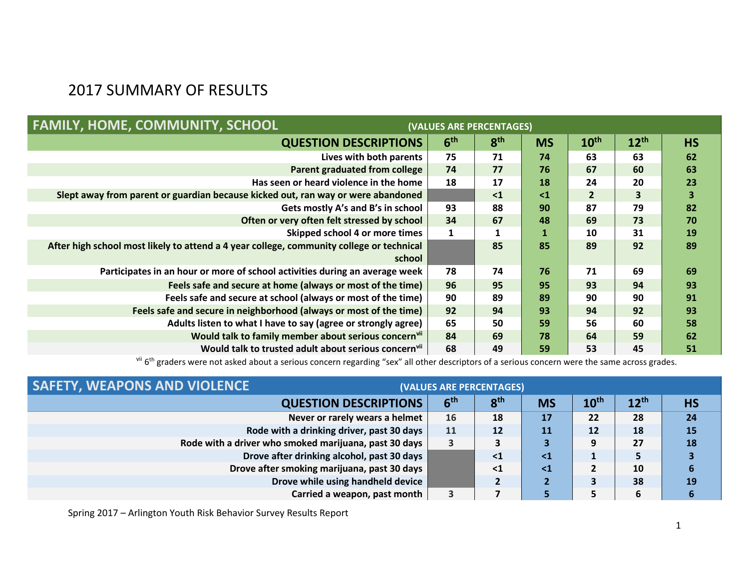## 2017 SUMMARY OF RESULTS

| <b>FAMILY, HOME, COMMUNITY, SCHOOL</b><br>(VALUES ARE PERCENTAGES)                       |                 |                 |           |                  |                  |           |  |  |
|------------------------------------------------------------------------------------------|-----------------|-----------------|-----------|------------------|------------------|-----------|--|--|
| <b>QUESTION DESCRIPTIONS</b>                                                             | 6 <sup>th</sup> | 8 <sup>th</sup> | <b>MS</b> | 10 <sup>th</sup> | $12^{\text{th}}$ | <b>HS</b> |  |  |
| Lives with both parents                                                                  | 75              | 71              | 74        | 63               | 63               | 62        |  |  |
| Parent graduated from college                                                            | 74              | 77              | 76        | 67               | 60               | 63        |  |  |
| Has seen or heard violence in the home                                                   | 18              | 17              | 18        | 24               | 20               | 23        |  |  |
| Slept away from parent or guardian because kicked out, ran way or were abandoned         |                 | $\leq 1$        | $\leq 1$  | $\overline{2}$   | 3                | 3         |  |  |
| Gets mostly A's and B's in school                                                        | 93              | 88              | 90        | 87               | 79               | 82        |  |  |
| Often or very often felt stressed by school                                              | 34              | 67              | 48        | 69               | 73               | 70        |  |  |
| Skipped school 4 or more times                                                           | 1               |                 |           | 10               | 31               | 19        |  |  |
| After high school most likely to attend a 4 year college, community college or technical |                 | 85              | 85        | 89               | 92               | 89        |  |  |
| school                                                                                   |                 |                 |           |                  |                  |           |  |  |
| Participates in an hour or more of school activities during an average week              | 78              | 74              | 76        | 71               | 69               | 69        |  |  |
| Feels safe and secure at home (always or most of the time)                               | 96              | 95              | 95        | 93               | 94               | 93        |  |  |
| Feels safe and secure at school (always or most of the time)                             | 90              | 89              | 89        | 90               | 90               | 91        |  |  |
| Feels safe and secure in neighborhood (always or most of the time)                       | 92              | 94              | 93        | 94               | 92               | 93        |  |  |
| Adults listen to what I have to say (agree or strongly agree)                            | 65              | 50              | 59        | 56               | 60               | 58        |  |  |
| Would talk to family member about serious concernvii                                     | 84              | 69              | 78        | 64               | 59               | 62        |  |  |
| Would talk to trusted adult about serious concern <sup>vii</sup>                         | 68              | 49              | 59        | 53               | 45               | 51        |  |  |

vii 6<sup>th</sup> graders were not asked about a serious concern regarding "sex" all other descriptors of a serious concern were the same across grades.

| <b>SAFETY, WEAPONS AND VIOLENCE</b>                   | (VALUES ARE PERCENTAGES) |                 |           |                  |           |           |  |  |
|-------------------------------------------------------|--------------------------|-----------------|-----------|------------------|-----------|-----------|--|--|
| <b>QUESTION DESCRIPTIONS</b>                          | 6 <sup>th</sup>          | 8 <sup>th</sup> | <b>MS</b> | 10 <sup>th</sup> | $12^{th}$ | <b>HS</b> |  |  |
| Never or rarely wears a helmet                        | 16                       | 18              | 17        | 22               | 28        | 24        |  |  |
| Rode with a drinking driver, past 30 days             | 11                       | 12              | 11        | 12               | 18        | 15        |  |  |
| Rode with a driver who smoked marijuana, past 30 days |                          |                 |           | 9                | 27        | 18        |  |  |
| Drove after drinking alcohol, past 30 days            |                          | $\leq$ 1        | $\leq 1$  |                  | 5         |           |  |  |
| Drove after smoking marijuana, past 30 days           |                          | $\leq$ 1        | $\leq 1$  |                  | 10        | 6         |  |  |
| Drove while using handheld device                     |                          |                 |           |                  | 38        | 19        |  |  |
| Carried a weapon, past month                          | 3                        |                 |           |                  | 6         |           |  |  |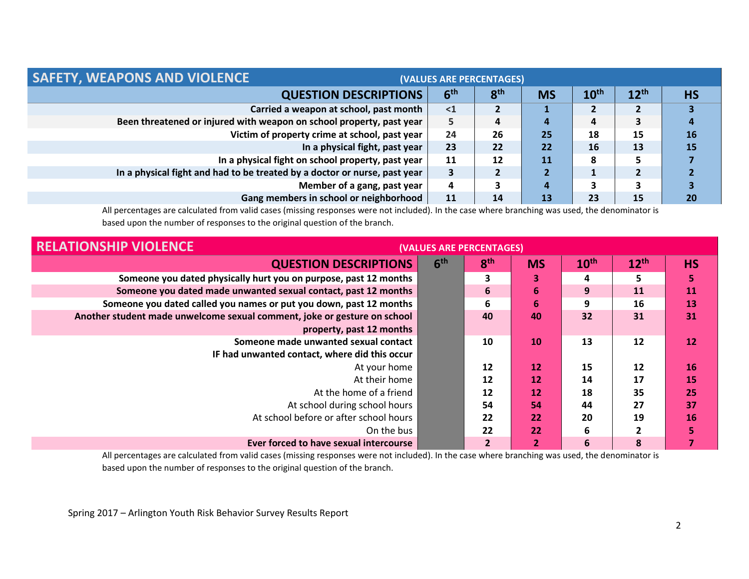| <b>SAFETY, WEAPONS AND VIOLENCE</b>                                       | (VALUES ARE PERCENTAGES) |                 |           |                  |           |           |  |  |
|---------------------------------------------------------------------------|--------------------------|-----------------|-----------|------------------|-----------|-----------|--|--|
| <b>QUESTION DESCRIPTIONS</b>                                              | 6 <sup>th</sup>          | 8 <sup>th</sup> | <b>MS</b> | 10 <sup>th</sup> | $12^{th}$ | <b>HS</b> |  |  |
| Carried a weapon at school, past month                                    | $\leq 1$                 |                 |           |                  |           |           |  |  |
| Been threatened or injured with weapon on school property, past year      | 5                        | $\overline{a}$  | 4         | 4                | 3         | 4         |  |  |
| Victim of property crime at school, past year                             | 24                       | 26              | 25        | 18               | 15        | 16        |  |  |
| In a physical fight, past year                                            | 23                       | 22              | 22        | 16               | 13        | <b>15</b> |  |  |
| In a physical fight on school property, past year                         | 11                       | 12              | <b>11</b> | 8                |           |           |  |  |
| In a physical fight and had to be treated by a doctor or nurse, past year | 3                        |                 |           |                  |           |           |  |  |
| Member of a gang, past year                                               | 4                        |                 | 4         |                  | 3         |           |  |  |
| Gang members in school or neighborhood                                    | 11                       | 14              | 13        | 23               | 15        | 20        |  |  |

All percentages are calculated from valid cases (missing responses were not included). In the case where branching was used, the denominator is based upon the number of responses to the original question of the branch.

| <b>RELATIONSHIP VIOLENCE</b>                                             | (VALUES ARE PERCENTAGES) |                 |           |                  |           |           |  |  |
|--------------------------------------------------------------------------|--------------------------|-----------------|-----------|------------------|-----------|-----------|--|--|
| <b>QUESTION DESCRIPTIONS</b>                                             | 6 <sup>th</sup>          | 8 <sup>th</sup> | <b>MS</b> | 10 <sup>th</sup> | $12^{th}$ | <b>HS</b> |  |  |
| Someone you dated physically hurt you on purpose, past 12 months         |                          | 3               | 3         | 4                | 5         | 5         |  |  |
| Someone you dated made unwanted sexual contact, past 12 months           |                          | 6               | 6         | 9                | 11        | 11        |  |  |
| Someone you dated called you names or put you down, past 12 months       |                          | 6               | 6         | 9                | 16        | 13        |  |  |
| Another student made unwelcome sexual comment, joke or gesture on school |                          | 40              | 40        | 32               | 31        | 31        |  |  |
| property, past 12 months                                                 |                          |                 |           |                  |           |           |  |  |
| Someone made unwanted sexual contact                                     |                          | 10              | 10        | 13               | 12        | 12        |  |  |
| IF had unwanted contact, where did this occur                            |                          |                 |           |                  |           |           |  |  |
| At your home                                                             |                          | 12              | 12        | 15               | 12        | 16        |  |  |
| At their home                                                            |                          | 12              | 12        | 14               | 17        | 15        |  |  |
| At the home of a friend                                                  |                          | 12              | 12        | 18               | 35        | 25        |  |  |
| At school during school hours                                            |                          | 54              | 54        | 44               | 27        | 37        |  |  |
| At school before or after school hours                                   |                          | 22              | 22        | 20               | 19        | 16        |  |  |
| On the bus                                                               |                          | 22              | 22        | 6                | 2         |           |  |  |
| Ever forced to have sexual intercourse                                   |                          | $\overline{2}$  | 2         | 6                | 8         |           |  |  |

All percentages are calculated from valid cases (missing responses were not included). In the case where branching was used, the denominator is based upon the number of responses to the original question of the branch.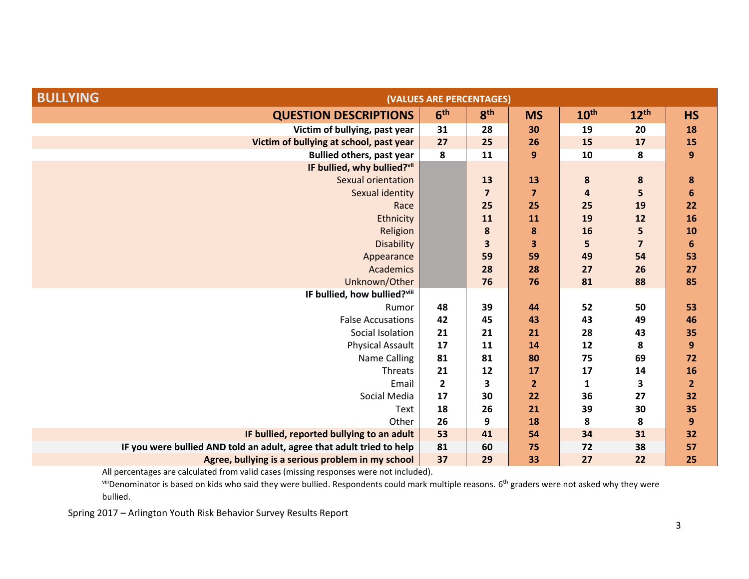| <b>BULLYING</b>                                                       | (VALUES ARE PERCENTAGES) |                 |                         |                  |                  |                |  |  |  |  |
|-----------------------------------------------------------------------|--------------------------|-----------------|-------------------------|------------------|------------------|----------------|--|--|--|--|
| <b>QUESTION DESCRIPTIONS</b>                                          | 6 <sup>th</sup>          | 8 <sup>th</sup> | <b>MS</b>               | 10 <sup>th</sup> | 12 <sup>th</sup> | <b>HS</b>      |  |  |  |  |
| Victim of bullying, past year                                         | 31                       | 28              | 30                      | 19               | 20               | 18             |  |  |  |  |
| Victim of bullying at school, past year                               | 27                       | 25              | 26                      | 15               | 17               | 15             |  |  |  |  |
| <b>Bullied others, past year</b>                                      | 8                        | 11              | $\boldsymbol{9}$        | 10               | 8                | 9              |  |  |  |  |
| IF bullied, why bullied?vii                                           |                          |                 |                         |                  |                  |                |  |  |  |  |
| <b>Sexual orientation</b>                                             |                          | 13              | 13                      | 8                | 8                | 8              |  |  |  |  |
| Sexual identity                                                       |                          | 7               | $\overline{\mathbf{z}}$ | $\overline{a}$   | 5                | 6              |  |  |  |  |
| Race                                                                  |                          | 25              | 25                      | 25               | 19               | 22             |  |  |  |  |
| Ethnicity                                                             |                          | 11              | 11                      | 19               | 12               | 16             |  |  |  |  |
| Religion                                                              |                          | 8               | 8                       | 16               | 5                | 10             |  |  |  |  |
| <b>Disability</b>                                                     |                          | 3               | 3                       | 5                | $\overline{7}$   | 6              |  |  |  |  |
| Appearance                                                            |                          | 59              | 59                      | 49               | 54               | 53             |  |  |  |  |
| <b>Academics</b>                                                      |                          | 28              | 28                      | 27               | 26               | 27             |  |  |  |  |
| Unknown/Other                                                         |                          | 76              | 76                      | 81               | 88               | 85             |  |  |  |  |
| IF bullied, how bullied?viii                                          |                          |                 |                         |                  |                  |                |  |  |  |  |
| Rumor                                                                 | 48                       | 39              | 44                      | 52               | 50               | 53             |  |  |  |  |
| <b>False Accusations</b>                                              | 42                       | 45              | 43                      | 43               | 49               | 46             |  |  |  |  |
| Social Isolation                                                      | 21                       | 21              | 21                      | 28               | 43               | 35             |  |  |  |  |
| <b>Physical Assault</b>                                               | 17                       | 11              | 14                      | 12               | 8                | 9              |  |  |  |  |
| Name Calling                                                          | 81                       | 81              | 80                      | 75               | 69               | 72             |  |  |  |  |
| Threats                                                               | 21                       | 12              | 17                      | 17               | 14               | <b>16</b>      |  |  |  |  |
| Email                                                                 | $\overline{2}$           | 3               | $\overline{2}$          | 1                | 3                | $\overline{2}$ |  |  |  |  |
| Social Media                                                          | 17                       | 30              | 22                      | 36               | 27               | 32             |  |  |  |  |
| Text                                                                  | 18                       | 26              | 21                      | 39               | 30               | 35             |  |  |  |  |
| Other                                                                 | 26                       | 9               | 18                      | 8                | 8                | 9              |  |  |  |  |
| IF bullied, reported bullying to an adult                             | 53                       | 41              | 54                      | 34               | 31               | 32             |  |  |  |  |
| IF you were bullied AND told an adult, agree that adult tried to help | 81                       | 60              | 75                      | 72               | 38               | 57             |  |  |  |  |
| Agree, bullying is a serious problem in my school                     | 37                       | 29              | 33                      | 27               | 22               | 25             |  |  |  |  |

viiiDenominator is based on kids who said they were bullied. Respondents could mark multiple reasons. 6<sup>th</sup> graders were not asked why they were bullied.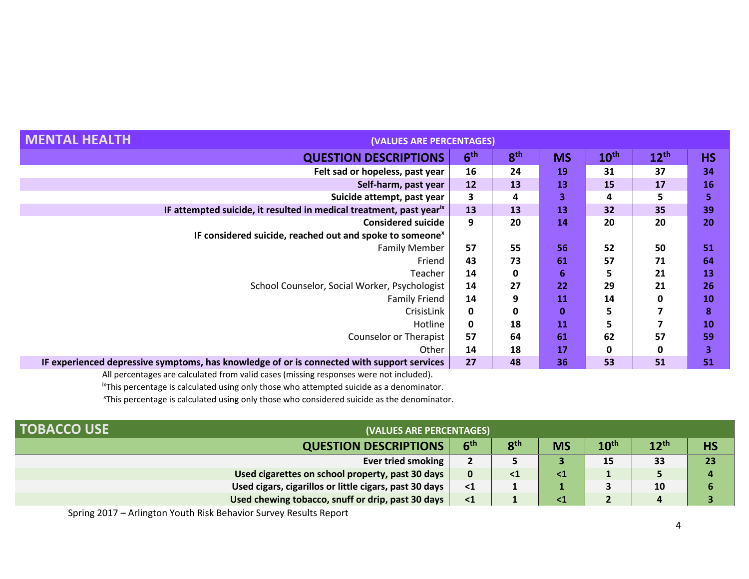| HEALTH                                                                                     | (VALUES ARE PERCENTAGES) |                 |           |                  |                  |           |  |
|--------------------------------------------------------------------------------------------|--------------------------|-----------------|-----------|------------------|------------------|-----------|--|
| <b>QUESTION DESCRIPTIONS</b>                                                               | 6 <sup>th</sup>          | 8 <sup>th</sup> | <b>MS</b> | 10 <sup>th</sup> | $12^{\text{th}}$ | <b>HS</b> |  |
| Felt sad or hopeless, past year                                                            | 16                       | 24              | 19        | 31               | 37               | 34        |  |
| Self-harm, past year                                                                       | 12                       | 13              | 13        | 15               | 17               | <b>16</b> |  |
| Suicide attempt, past year                                                                 | 3                        | 4               | 3         | 4                | 5                | 5         |  |
| IF attempted suicide, it resulted in medical treatment, past year <sup>ix</sup>            | 13                       | 13              | 13        | 32               | 35               | 39        |  |
| <b>Considered suicide</b>                                                                  | 9                        | 20              | 14        | 20               | 20               | 20        |  |
| IF considered suicide, reached out and spoke to someone <sup>x</sup>                       |                          |                 |           |                  |                  |           |  |
| <b>Family Member</b>                                                                       | 57                       | 55              | 56        | 52               | 50               | 51        |  |
| Friend                                                                                     | 43                       | 73              | 61        | 57               | 71               | 64        |  |
| Teacher                                                                                    | 14                       | 0               | 6         | 5                | 21               | 13        |  |
| School Counselor, Social Worker, Psychologist                                              | 14                       | 27              | 22        | 29               | 21               | 26        |  |
| <b>Family Friend</b>                                                                       | 14                       | 9               | 11        | 14               | 0                | 10        |  |
| CrisisLink                                                                                 | 0                        | 0               | $\bf{0}$  | 5                |                  | 8         |  |
| Hotline                                                                                    | 0                        | 18              | 11        | 5                |                  | <b>10</b> |  |
| Counselor or Therapist                                                                     | 57                       | 64              | 61        | 62               | 57               | 59        |  |
| Other                                                                                      | 14                       | 18              | 17        | 0                |                  | 3         |  |
| IF experienced depressive symptoms, has knowledge of or is connected with support services | 27                       | 48              | 36        | 53               | 51               | 51        |  |

<sup>ix</sup>This percentage is calculated using only those who attempted suicide as a denominator.

<sup>x</sup>This percentage is calculated using only those who considered suicide as the denominator.

| <b>TOBACCO USE</b>                                     | (VALUES ARE PERCENTAGES) |                 |           |               |                  |           |
|--------------------------------------------------------|--------------------------|-----------------|-----------|---------------|------------------|-----------|
| <b>QUESTION DESCRIPTIONS</b>                           | 6 <sup>th</sup>          | 8 <sup>th</sup> | <b>MS</b> | $10^{\sf th}$ | $12^{\text{th}}$ | <b>HS</b> |
| Ever tried smoking                                     |                          |                 |           | 15            | 33               | 23        |
| Used cigarettes on school property, past 30 days       | $\bf{0}$                 | $\leq 1$        | 51        |               | э                | л         |
| Used cigars, cigarillos or little cigars, past 30 days | $\leq 1$                 |                 |           | 3             | 10               |           |
| Used chewing tobacco, snuff or drip, past 30 days      | $\leq$ 1                 |                 |           |               | 4                |           |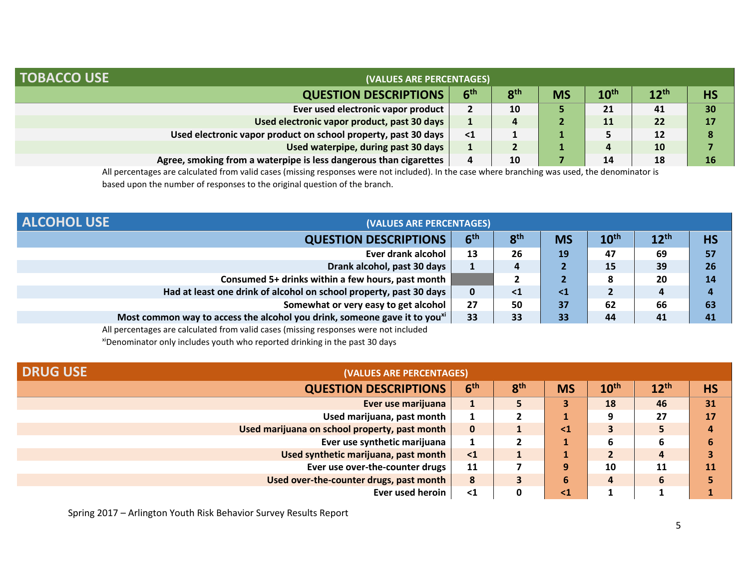| <b>TOBACCO USE</b>                                                | (VALUES ARE PERCENTAGES) |                 |           |                  |           |           |  |
|-------------------------------------------------------------------|--------------------------|-----------------|-----------|------------------|-----------|-----------|--|
| <b>QUESTION DESCRIPTIONS</b>                                      | 6 <sup>th</sup>          | 8 <sup>th</sup> | <b>MS</b> | $10^{\text{th}}$ | $12^{th}$ | <b>HS</b> |  |
| Ever used electronic vapor product                                | $\mathbf{2}$             | 10              |           | 21               | 41        | 30        |  |
| Used electronic vapor product, past 30 days                       | 1                        | 4               |           | 11               | 22        | 17        |  |
| Used electronic vapor product on school property, past 30 days    | $\leq 1$                 |                 |           |                  | 12        |           |  |
| Used waterpipe, during past 30 days                               | л.                       |                 |           | 4                | 10        |           |  |
| Agree, smoking from a waterpipe is less dangerous than cigarettes | 4                        | 10              |           | 14               | 18        | 16        |  |

All percentages are calculated from valid cases (missing responses were not included). In the case where branching was used, the denominator is based upon the number of responses to the original question of the branch.

| <b>ALCOHOL USE</b> | (VALUES ARE PERCENTAGES)                                                              |                 |                 |           |                  |                  |           |
|--------------------|---------------------------------------------------------------------------------------|-----------------|-----------------|-----------|------------------|------------------|-----------|
|                    | <b>QUESTION DESCRIPTIONS</b>                                                          | 6 <sup>th</sup> | 8 <sup>th</sup> | <b>MS</b> | 10 <sup>th</sup> | $12^{\text{th}}$ | <b>HS</b> |
|                    | Ever drank alcohol                                                                    | 13              | 26              | 19        | 47               | 69               | 57        |
|                    | Drank alcohol, past 30 days                                                           | <b>.</b>        | 4               |           | 15               | 39               | 26        |
|                    | Consumed 5+ drinks within a few hours, past month                                     |                 |                 | 2         |                  | 20               | 14        |
|                    | Had at least one drink of alcohol on school property, past 30 days                    | $\mathbf 0$     | $\leq 1$        | $\leq 1$  |                  | 4                | д         |
|                    | Somewhat or very easy to get alcohol                                                  | 27              | 50              | 37        | 62               | 66               | 63        |
|                    | Most common way to access the alcohol you drink, someone gave it to you <sup>xi</sup> | 33              | 33              | 33        | 44               | 41               | 41        |

All percentages are calculated from valid cases (missing responses were not included

xiDenominator only includes youth who reported drinking in the past 30 days

| <b>DRUG USE</b> | (VALUES ARE PERCENTAGES)                      |                 |                 |           |                  |           |           |
|-----------------|-----------------------------------------------|-----------------|-----------------|-----------|------------------|-----------|-----------|
|                 | <b>QUESTION DESCRIPTIONS</b>                  | 6 <sup>th</sup> | 8 <sup>th</sup> | <b>MS</b> | 10 <sup>th</sup> | $12^{th}$ | <b>HS</b> |
|                 | Ever use marijuana                            |                 |                 | 3         | 18               | 46        | 31        |
|                 | Used marijuana, past month                    |                 |                 |           |                  | 27        | 17        |
|                 | Used marijuana on school property, past month | $\bf{0}$        |                 | $\leq 1$  |                  |           | Д         |
|                 | Ever use synthetic marijuana                  |                 |                 |           | 6                | 6         |           |
|                 | Used synthetic marijuana, past month          | $\leq$ 1        |                 |           |                  | 4         |           |
|                 | Ever use over-the-counter drugs               | 11              |                 | 9         | 10               | 11        | <b>11</b> |
|                 | Used over-the-counter drugs, past month       | 8               |                 | 6         | 4                | 6         |           |
|                 | Ever used heroin                              | $\leq 1$        |                 | $\leq 1$  |                  |           |           |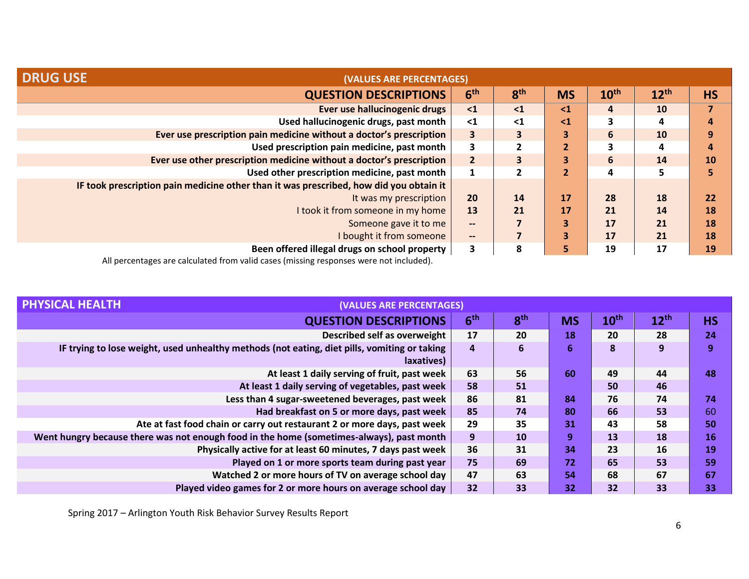| <b>DRUG USE</b><br>(VALUES ARE PERCENTAGES)                                            |                          |                         |                |                  |                  |           |
|----------------------------------------------------------------------------------------|--------------------------|-------------------------|----------------|------------------|------------------|-----------|
| <b>QUESTION DESCRIPTIONS</b>                                                           | 6 <sup>th</sup>          | 8 <sup>th</sup>         | <b>MS</b>      | 10 <sup>th</sup> | $12^{\text{th}}$ | <b>HS</b> |
| Ever use hallucinogenic drugs                                                          | $\leq 1$                 | $\leq 1$                | $\leq 1$       | 4                | <b>10</b>        |           |
| Used hallucinogenic drugs, past month                                                  | $\leq 1$                 | $\leq 1$                | $\leq 1$       | 3                | 4                | 4         |
| Ever use prescription pain medicine without a doctor's prescription                    | 3                        | $\overline{\mathbf{3}}$ | 3              | $6\phantom{1}$   | 10               | 9         |
| Used prescription pain medicine, past month                                            | 3                        | $\overline{2}$          | $\overline{2}$ | 3                | 4                | 4         |
| Ever use other prescription medicine without a doctor's prescription                   | $\overline{2}$           | $\overline{\mathbf{3}}$ | 3              | 6                | 14               | 10        |
| Used other prescription medicine, past month                                           |                          |                         | $\overline{2}$ | 4                | כ                |           |
| IF took prescription pain medicine other than it was prescribed, how did you obtain it |                          |                         |                |                  |                  |           |
| It was my prescription                                                                 | 20                       | 14                      | 17             | 28               | 18               | 22        |
| I took it from someone in my home                                                      | 13                       | 21                      | 17             | 21               | 14               | 18        |
| Someone gave it to me                                                                  | $\qquad \qquad \cdots$   |                         | 3              | 17               | 21               | 18        |
| I bought it from someone                                                               | $\overline{\phantom{a}}$ |                         | 3              | 17               | 21               | 18        |
| Been offered illegal drugs on school property                                          | 3                        | 8                       | 5              | 19               | 17               | <b>19</b> |

| (VALUES ARE PERCENTAGES)                                                                                   |                 |                 |           |                  |           |           |
|------------------------------------------------------------------------------------------------------------|-----------------|-----------------|-----------|------------------|-----------|-----------|
| <b>QUESTION DESCRIPTIONS</b>                                                                               | 6 <sup>th</sup> | 8 <sup>th</sup> | <b>MS</b> | 10 <sup>th</sup> | $12^{th}$ | <b>HS</b> |
| Described self as overweight                                                                               | 17              | 20              | <b>18</b> | 20               | 28        | 24        |
| IF trying to lose weight, used unhealthy methods (not eating, diet pills, vomiting or taking<br>laxatives) | 4               | 6               | 6         | 8                | 9         | 9         |
| At least 1 daily serving of fruit, past week                                                               | 63              | 56              | 60        | 49               | 44        | 48        |
| At least 1 daily serving of vegetables, past week                                                          | 58              | 51              |           | 50               | 46        |           |
| Less than 4 sugar-sweetened beverages, past week                                                           | 86              | 81              | 84        | 76               | 74        | 74        |
| Had breakfast on 5 or more days, past week                                                                 | 85              | 74              | 80        | 66               | 53        | 60        |
| Ate at fast food chain or carry out restaurant 2 or more days, past week                                   | 29              | 35              | 31        | 43               | 58        | 50        |
| Went hungry because there was not enough food in the home (sometimes-always), past month                   | 9               | 10              | 9         | 13               | 18        | 16        |
| Physically active for at least 60 minutes, 7 days past week                                                | 36              | 31              | 34        | 23               | 16        | 19        |
| Played on 1 or more sports team during past year                                                           | 75              | 69              | 72        | 65               | 53        | 59        |
| Watched 2 or more hours of TV on average school day                                                        | 47              | 63              | 54        | 68               | 67        | 67        |
| Played video games for 2 or more hours on average school day                                               | 32              | 33              | 32        | 32               | 33        | 33        |